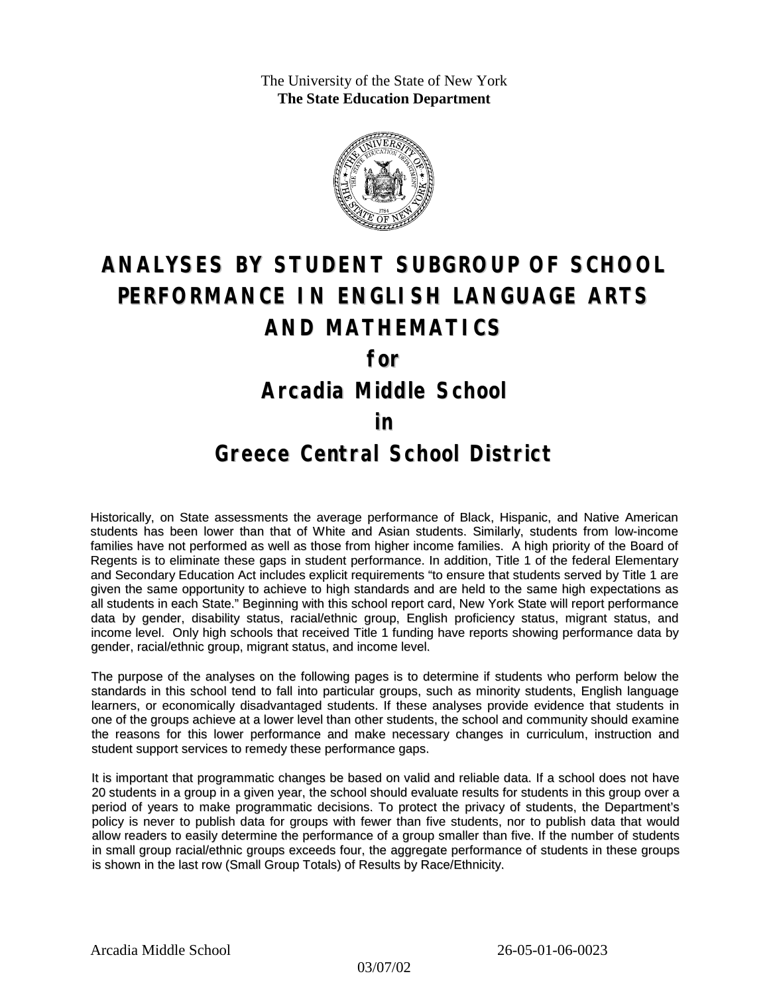The University of the State of New York **The State Education Department**



# **ANALYSES BY STUDENT SUBGROUP OF SCHOOL PERFORMANCE IN ENGLISH LANGUAGE ARTS AND MATHEMATICS for**

**Arcadia Middle School**

#### **in**

### **Greece Central School District**

Historically, on State assessments the average performance of Black, Hispanic, and Native American students has been lower than that of White and Asian students. Similarly, students from low-income families have not performed as well as those from higher income families. A high priority of the Board of Regents is to eliminate these gaps in student performance. In addition, Title 1 of the federal Elementary and Secondary Education Act includes explicit requirements "to ensure that students served by Title 1 are given the same opportunity to achieve to high standards and are held to the same high expectations as all students in each State." Beginning with this school report card, New York State will report performance data by gender, disability status, racial/ethnic group, English proficiency status, migrant status, and income level. Only high schools that received Title 1 funding have reports showing performance data by gender, racial/ethnic group, migrant status, and income level.

The purpose of the analyses on the following pages is to determine if students who perform below the standards in this school tend to fall into particular groups, such as minority students, English language learners, or economically disadvantaged students. If these analyses provide evidence that students in one of the groups achieve at a lower level than other students, the school and community should examine the reasons for this lower performance and make necessary changes in curriculum, instruction and student support services to remedy these performance gaps.

It is important that programmatic changes be based on valid and reliable data. If a school does not have 20 students in a group in a given year, the school should evaluate results for students in this group over a period of years to make programmatic decisions. To protect the privacy of students, the Department's policy is never to publish data for groups with fewer than five students, nor to publish data that would allow readers to easily determine the performance of a group smaller than five. If the number of students in small group racial/ethnic groups exceeds four, the aggregate performance of students in these groups is shown in the last row (Small Group Totals) of Results by Race/Ethnicity.

03/07/02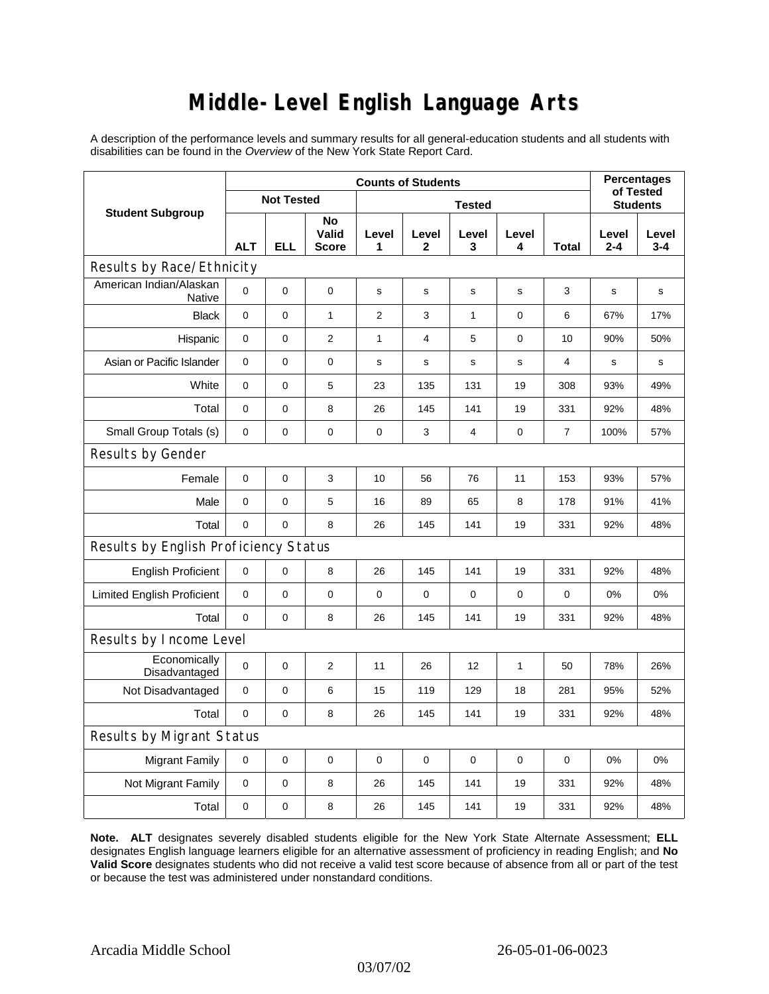## **Middle-Level English Language Arts**

A description of the performance levels and summary results for all general-education students and all students with disabilities can be found in the *Overview* of the New York State Report Card.

| <b>Student Subgroup</b>                  | <b>Counts of Students</b> |            |                             |               |             |                |             |                | <b>Percentages</b><br>of Tested |              |  |
|------------------------------------------|---------------------------|------------|-----------------------------|---------------|-------------|----------------|-------------|----------------|---------------------------------|--------------|--|
|                                          | <b>Not Tested</b>         |            |                             | <b>Tested</b> |             |                |             |                | <b>Students</b>                 |              |  |
|                                          | <b>ALT</b>                | <b>ELL</b> | No<br>Valid<br><b>Score</b> | Level<br>1    | Level<br>2  | Level<br>3     | Level<br>4  | Total          | Level<br>$2 - 4$                | Level<br>3-4 |  |
| Results by Race/Ethnicity                |                           |            |                             |               |             |                |             |                |                                 |              |  |
| American Indian/Alaskan<br><b>Native</b> | 0                         | 0          | $\pmb{0}$                   | s             | s           | s              | s           | 3              | s                               | s            |  |
| <b>Black</b>                             | 0                         | 0          | $\mathbf{1}$                | 2             | 3           | $\mathbf{1}$   | $\mathbf 0$ | 6              | 67%                             | 17%          |  |
| Hispanic                                 | 0                         | 0          | $\overline{2}$              | $\mathbf{1}$  | 4           | 5              | 0           | 10             | 90%                             | 50%          |  |
| Asian or Pacific Islander                | $\mathbf 0$               | 0          | 0                           | s             | s           | $\mathbf s$    | s           | 4              | $\mathbf s$                     | s            |  |
| White                                    | 0                         | 0          | 5                           | 23            | 135         | 131            | 19          | 308            | 93%                             | 49%          |  |
| Total                                    | 0                         | 0          | 8                           | 26            | 145         | 141            | 19          | 331            | 92%                             | 48%          |  |
| Small Group Totals (s)                   | 0                         | 0          | 0                           | 0             | 3           | $\overline{4}$ | 0           | $\overline{7}$ | 100%                            | 57%          |  |
| Results by Gender                        |                           |            |                             |               |             |                |             |                |                                 |              |  |
| Female                                   | $\overline{0}$            | 0          | 3                           | 10            | 56          | 76             | 11          | 153            | 93%                             | 57%          |  |
| Male                                     | $\pmb{0}$                 | 0          | 5                           | 16            | 89          | 65             | 8           | 178            | 91%                             | 41%          |  |
| Total                                    | 0                         | 0          | 8                           | 26            | 145         | 141            | 19          | 331            | 92%                             | 48%          |  |
| Results by English Proficiency Status    |                           |            |                             |               |             |                |             |                |                                 |              |  |
| <b>English Proficient</b>                | 0                         | 0          | 8                           | 26            | 145         | 141            | 19          | 331            | 92%                             | 48%          |  |
| <b>Limited English Proficient</b>        | 0                         | 0          | 0                           | 0             | $\mathbf 0$ | 0              | $\mathbf 0$ | 0              | 0%                              | 0%           |  |
| Total                                    | $\mathbf 0$               | 0          | 8                           | 26            | 145         | 141            | 19          | 331            | 92%                             | 48%          |  |
| Results by Income Level                  |                           |            |                             |               |             |                |             |                |                                 |              |  |
| Economically<br>Disadvantaged            | $\mathbf 0$               | 0          | $\overline{2}$              | 11            | 26          | 12             | 1           | 50             | 78%                             | 26%          |  |
| Not Disadvantaged                        | 0                         | 0          | 6                           | 15            | 119         | 129            | 18          | 281            | 95%                             | 52%          |  |
| Total                                    | 0                         | 0          | 8                           | 26            | 145         | 141            | 19          | 331            | 92%                             | 48%          |  |
| Results by Migrant Status                |                           |            |                             |               |             |                |             |                |                                 |              |  |
| <b>Migrant Family</b>                    | 0                         | 0          | $\pmb{0}$                   | $\pmb{0}$     | 0           | 0              | 0           | 0              | 0%                              | 0%           |  |
| Not Migrant Family                       | 0                         | 0          | 8                           | 26            | 145         | 141            | 19          | 331            | 92%                             | 48%          |  |
| Total                                    | 0                         | 0          | 8                           | 26            | 145         | 141            | 19          | 331            | 92%                             | 48%          |  |

**Note. ALT** designates severely disabled students eligible for the New York State Alternate Assessment; **ELL** designates English language learners eligible for an alternative assessment of proficiency in reading English; and **No Valid Score** designates students who did not receive a valid test score because of absence from all or part of the test or because the test was administered under nonstandard conditions.